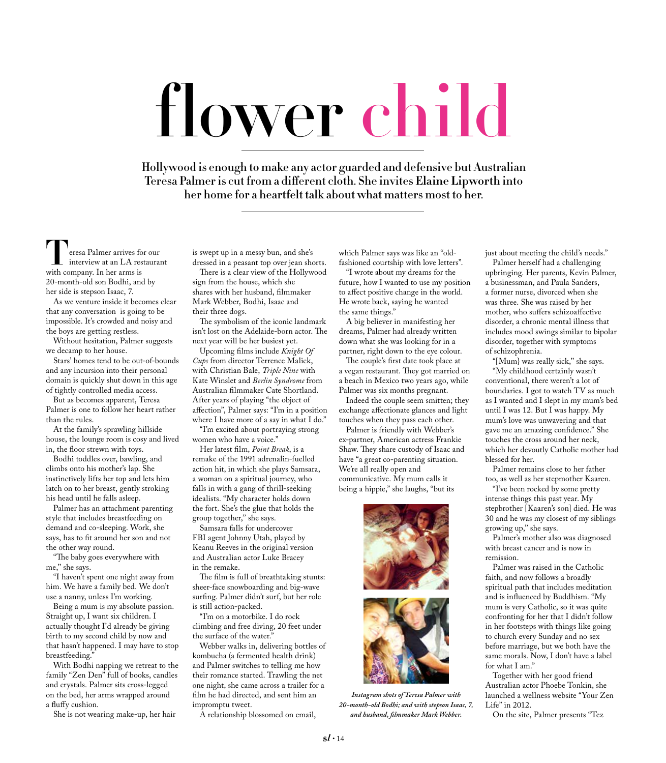## **flower child**

Hollywood is enough to make any actor guarded and defensive but Australian Teresa Palmer is cut from a different cloth. She invites **Elaine Lipworth** into her home for a heartfelt talk about what matters most to her.

**T**eresa Palmer arrives for our interview at an LA restaurant with company. In her arms is 20-month-old son Bodhi, and by her side is stepson Isaac, 7.

As we venture inside it becomes clear that any conversation is going to be impossible. It's crowded and noisy and the boys are getting restless.

Without hesitation, Palmer suggests we decamp to her house.

Stars' homes tend to be out-of-bounds and any incursion into their personal domain is quickly shut down in this age of tightly controlled media access.

But as becomes apparent, Teresa Palmer is one to follow her heart rather than the rules.

At the family's sprawling hillside house, the lounge room is cosy and lived in, the floor strewn with toys.

Bodhi toddles over, bawling, and climbs onto his mother's lap. She instinctively lifts her top and lets him latch on to her breast, gently stroking his head until he falls asleep.

Palmer has an attachment parenting style that includes breastfeeding on demand and co-sleeping. Work, she says, has to fit around her son and not the other way round.

"The baby goes everywhere with me,'' she says.

"I haven't spent one night away from him. We have a family bed. We don't use a nanny, unless I'm working.

Being a mum is my absolute passion. Straight up, I want six children. I actually thought I'd already be giving birth to my second child by now and that hasn't happened. I may have to stop breastfeeding."

With Bodhi napping we retreat to the family "Zen Den" full of books, candles and crystals. Palmer sits cross-legged on the bed, her arms wrapped around a fluffy cushion.

She is not wearing make-up, her hair

is swept up in a messy bun, and she's dressed in a peasant top over jean shorts.

There is a clear view of the Hollywood sign from the house, which she shares with her husband, filmmaker Mark Webber, Bodhi, Isaac and their three dogs.

The symbolism of the iconic landmark isn't lost on the Adelaide-born actor. The next year will be her busiest yet.

Upcoming films include *Knight Of Cups* from director Terrence Malick, with Christian Bale, *Triple Nine* with Kate Winslet and *Berlin Syndrome* from Australian filmmaker Cate Shortland. After years of playing "the object of affection", Palmer says: "I'm in a position where I have more of a say in what I do."

"I'm excited about portraying strong women who have a voice."

Her latest film, *Point Break*, is a remake of the 1991 adrenalin-fuelled action hit, in which she plays Samsara, a woman on a spiritual journey, who falls in with a gang of thrill-seeking idealists. "My character holds down the fort. She's the glue that holds the group together,'' she says.

Samsara falls for undercover FBI agent Johnny Utah, played by Keanu Reeves in the original version and Australian actor Luke Bracey in the remake.

The film is full of breathtaking stunts: sheer-face snowboarding and big-wave surfing. Palmer didn't surf, but her role is still action-packed.

"I'm on a motorbike. I do rock climbing and free diving, 20 feet under the surface of the water."

Webber walks in, delivering bottles of kombucha (a fermented health drink) and Palmer switches to telling me how their romance started. Trawling the net one night, she came across a trailer for a film he had directed, and sent him an impromptu tweet.

A relationship blossomed on email,

which Palmer says was like an "oldfashioned courtship with love letters".

"I wrote about my dreams for the future, how I wanted to use my position to affect positive change in the world. He wrote back, saying he wanted the same things."

A big believer in manifesting her dreams, Palmer had already written down what she was looking for in a partner, right down to the eye colour.

The couple's first date took place at a vegan restaurant. They got married on a beach in Mexico two years ago, while Palmer was six months pregnant.

Indeed the couple seem smitten; they exchange affectionate glances and light touches when they pass each other.

Palmer is friendly with Webber's ex-partner, American actress Frankie Shaw. They share custody of Isaac and have "a great co-parenting situation. We're all really open and communicative. My mum calls it being a hippie," she laughs, "but its



*Instagram shots of Teresa Palmer with 20-month-old Bodhi; and with stepson Isaac, 7, and husband, filmmaker Mark Webber.*

just about meeting the child's needs."

Palmer herself had a challenging upbringing. Her parents, Kevin Palmer, a businessman, and Paula Sanders, a former nurse, divorced when she was three. She was raised by her mother, who suffers schizoaffective disorder, a chronic mental illness that includes mood swings similar to bipolar disorder, together with symptoms of schizophrenia.

"[Mum} was really sick,'' she says.

"My childhood certainly wasn't conventional, there weren't a lot of boundaries. I got to watch TV as much as I wanted and I slept in my mum's bed until I was 12. But I was happy. My mum's love was unwavering and that gave me an amazing confidence." She touches the cross around her neck, which her devoutly Catholic mother had blessed for her.

Palmer remains close to her father too, as well as her stepmother Kaaren.

"I've been rocked by some pretty intense things this past year. My stepbrother [Kaaren's son] died. He was 30 and he was my closest of my siblings growing up,'' she says.

Palmer's mother also was diagnosed with breast cancer and is now in remission.

Palmer was raised in the Catholic faith, and now follows a broadly spiritual path that includes meditation and is influenced by Buddhism. "My mum is very Catholic, so it was quite confronting for her that I didn't follow in her footsteps with things like going to church every Sunday and no sex before marriage, but we both have the same morals. Now, I don't have a label for what I am."

Together with her good friend Australian actor Phoebe Tonkin, she launched a wellness website "Your Zen Life" in 2012.

On the site, Palmer presents "Tez